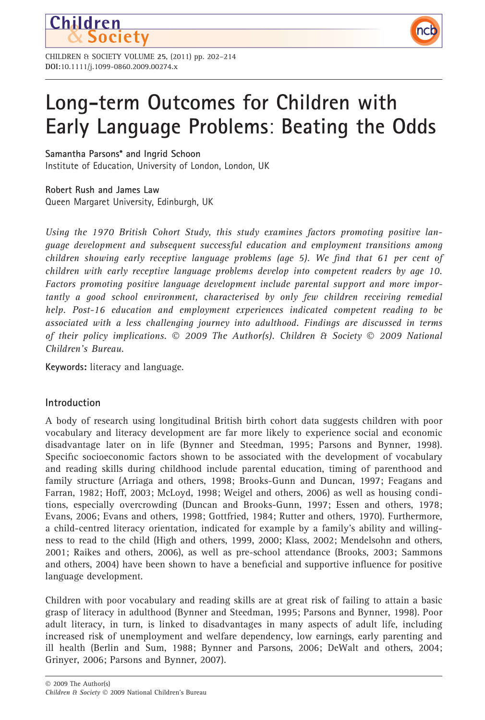

CHILDREN & SOCIETY VOLUME 25, (2011) pp. 202–214 DOI:10.1111/j.1099-0860.2009.00274.x

# Long-term Outcomes for Children with Early Language Problems: Beating the Odds

nc

Samantha Parsons\* and Ingrid Schoon

Institute of Education, University of London, London, UK

Robert Rush and James Law Queen Margaret University, Edinburgh, UK

Using the 1970 British Cohort Study, this study examines factors promoting positive language development and subsequent successful education and employment transitions among children showing early receptive language problems (age 5). We find that 61 per cent of children with early receptive language problems develop into competent readers by age 10. Factors promoting positive language development include parental support and more importantly a good school environment, characterised by only few children receiving remedial help. Post-16 education and employment experiences indicated competent reading to be associated with a less challenging journey into adulthood. Findings are discussed in terms of their policy implications. © 2009 The Author(s). Children & Society © 2009 National Children's Bureau.

Keywords: literacy and language.

# Introduction

A body of research using longitudinal British birth cohort data suggests children with poor vocabulary and literacy development are far more likely to experience social and economic disadvantage later on in life (Bynner and Steedman, 1995; Parsons and Bynner, 1998). Specific socioeconomic factors shown to be associated with the development of vocabulary and reading skills during childhood include parental education, timing of parenthood and family structure (Arriaga and others, 1998; Brooks-Gunn and Duncan, 1997; Feagans and Farran, 1982; Hoff, 2003; McLoyd, 1998; Weigel and others, 2006) as well as housing conditions, especially overcrowding (Duncan and Brooks-Gunn, 1997; Essen and others, 1978; Evans, 2006; Evans and others, 1998; Gottfried, 1984; Rutter and others, 1970). Furthermore, a child-centred literacy orientation, indicated for example by a family's ability and willingness to read to the child (High and others, 1999, 2000; Klass, 2002; Mendelsohn and others, 2001; Raikes and others, 2006), as well as pre-school attendance (Brooks, 2003; Sammons and others, 2004) have been shown to have a beneficial and supportive influence for positive language development.

Children with poor vocabulary and reading skills are at great risk of failing to attain a basic grasp of literacy in adulthood (Bynner and Steedman, 1995; Parsons and Bynner, 1998). Poor adult literacy, in turn, is linked to disadvantages in many aspects of adult life, including increased risk of unemployment and welfare dependency, low earnings, early parenting and ill health (Berlin and Sum, 1988; Bynner and Parsons, 2006; DeWalt and others, 2004; Grinyer, 2006; Parsons and Bynner, 2007).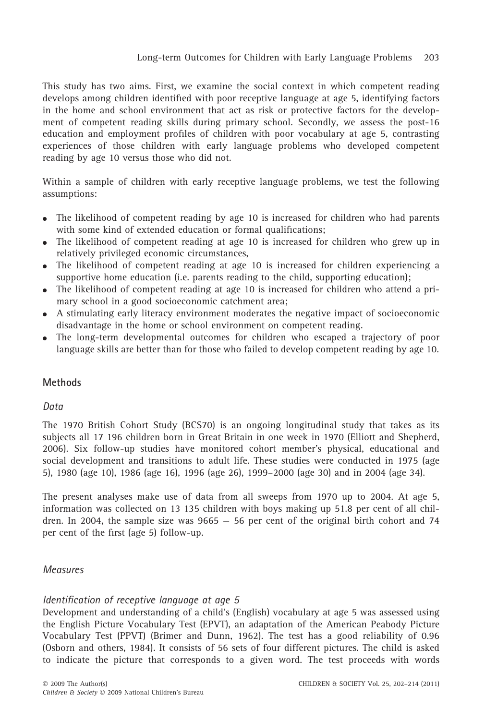This study has two aims. First, we examine the social context in which competent reading develops among children identified with poor receptive language at age 5, identifying factors in the home and school environment that act as risk or protective factors for the development of competent reading skills during primary school. Secondly, we assess the post-16 education and employment profiles of children with poor vocabulary at age 5, contrasting experiences of those children with early language problems who developed competent reading by age 10 versus those who did not.

Within a sample of children with early receptive language problems, we test the following assumptions:

- The likelihood of competent reading by age 10 is increased for children who had parents with some kind of extended education or formal qualifications;
- The likelihood of competent reading at age 10 is increased for children who grew up in relatively privileged economic circumstances,
- The likelihood of competent reading at age 10 is increased for children experiencing a supportive home education (i.e. parents reading to the child, supporting education);
- The likelihood of competent reading at age 10 is increased for children who attend a primary school in a good socioeconomic catchment area;
- A stimulating early literacy environment moderates the negative impact of socioeconomic disadvantage in the home or school environment on competent reading.
- The long-term developmental outcomes for children who escaped a trajectory of poor language skills are better than for those who failed to develop competent reading by age 10.

# Methods

## Data

The 1970 British Cohort Study (BCS70) is an ongoing longitudinal study that takes as its subjects all 17 196 children born in Great Britain in one week in 1970 (Elliott and Shepherd, 2006). Six follow-up studies have monitored cohort member's physical, educational and social development and transitions to adult life. These studies were conducted in 1975 (age 5), 1980 (age 10), 1986 (age 16), 1996 (age 26), 1999–2000 (age 30) and in 2004 (age 34).

The present analyses make use of data from all sweeps from 1970 up to 2004. At age 5, information was collected on 13 135 children with boys making up 51.8 per cent of all children. In 2004, the sample size was  $9665 - 56$  per cent of the original birth cohort and 74 per cent of the first (age 5) follow-up.

## Measures

## Identification of receptive language at age 5

Development and understanding of a child's (English) vocabulary at age 5 was assessed using the English Picture Vocabulary Test (EPVT), an adaptation of the American Peabody Picture Vocabulary Test (PPVT) (Brimer and Dunn, 1962). The test has a good reliability of 0.96 (Osborn and others, 1984). It consists of 56 sets of four different pictures. The child is asked to indicate the picture that corresponds to a given word. The test proceeds with words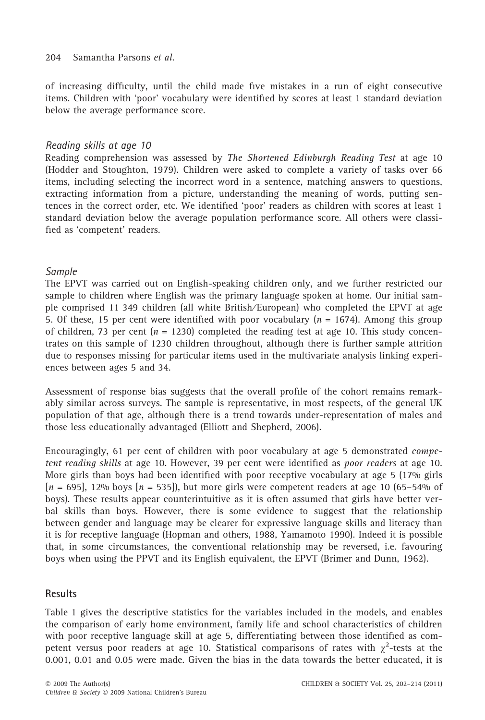of increasing difficulty, until the child made five mistakes in a run of eight consecutive items. Children with 'poor' vocabulary were identified by scores at least 1 standard deviation below the average performance score.

#### Reading skills at age 10

Reading comprehension was assessed by The Shortened Edinburgh Reading Test at age 10 (Hodder and Stoughton, 1979). Children were asked to complete a variety of tasks over 66 items, including selecting the incorrect word in a sentence, matching answers to questions, extracting information from a picture, understanding the meaning of words, putting sentences in the correct order, etc. We identified 'poor' readers as children with scores at least 1 standard deviation below the average population performance score. All others were classified as 'competent' readers.

## Sample

The EPVT was carried out on English-speaking children only, and we further restricted our sample to children where English was the primary language spoken at home. Our initial sample comprised 11 349 children (all white British ⁄ European) who completed the EPVT at age 5. Of these, 15 per cent were identified with poor vocabulary  $(n = 1674)$ . Among this group of children, 73 per cent ( $n = 1230$ ) completed the reading test at age 10. This study concentrates on this sample of 1230 children throughout, although there is further sample attrition due to responses missing for particular items used in the multivariate analysis linking experiences between ages 5 and 34.

Assessment of response bias suggests that the overall profile of the cohort remains remarkably similar across surveys. The sample is representative, in most respects, of the general UK population of that age, although there is a trend towards under-representation of males and those less educationally advantaged (Elliott and Shepherd, 2006).

Encouragingly, 61 per cent of children with poor vocabulary at age 5 demonstrated competent reading skills at age 10. However, 39 per cent were identified as poor readers at age 10. More girls than boys had been identified with poor receptive vocabulary at age 5 (17% girls  $[n = 695]$ , 12% boys  $[n = 535]$ , but more girls were competent readers at age 10 (65–54% of boys). These results appear counterintuitive as it is often assumed that girls have better verbal skills than boys. However, there is some evidence to suggest that the relationship between gender and language may be clearer for expressive language skills and literacy than it is for receptive language (Hopman and others, 1988, Yamamoto 1990). Indeed it is possible that, in some circumstances, the conventional relationship may be reversed, i.e. favouring boys when using the PPVT and its English equivalent, the EPVT (Brimer and Dunn, 1962).

## Results

Table 1 gives the descriptive statistics for the variables included in the models, and enables the comparison of early home environment, family life and school characteristics of children with poor receptive language skill at age 5, differentiating between those identified as competent versus poor readers at age 10. Statistical comparisons of rates with  $\chi^2$ -tests at the 0.001, 0.01 and 0.05 were made. Given the bias in the data towards the better educated, it is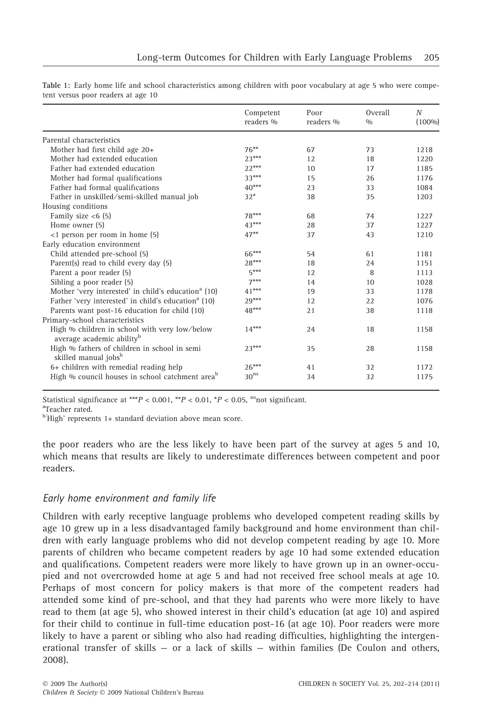|                                                                                        | Competent<br>readers % | Poor<br>readers % | Overall<br>0/0 | $\boldsymbol{N}$<br>$(100\%)$ |
|----------------------------------------------------------------------------------------|------------------------|-------------------|----------------|-------------------------------|
| Parental characteristics                                                               |                        |                   |                |                               |
| Mother had first child age 20+                                                         | $76***$                | 67                | 73             | 1218                          |
| Mother had extended education                                                          | $23***$                | 12                | 18             | 1220                          |
| Father had extended education                                                          | $22***$                | 10                | 17             | 1185                          |
| Mother had formal qualifications                                                       | $33***$                | 15                | 26             | 1176                          |
| Father had formal qualifications                                                       | $40***$                | 23                | 33             | 1084                          |
| Father in unskilled/semi-skilled manual job                                            | $32*$                  | 38                | 35             | 1203                          |
| Housing conditions                                                                     |                        |                   |                |                               |
| Family size $<$ 6(5)                                                                   | 78***                  | 68                | 74             | 1227                          |
| Home owner (5)                                                                         | $43***$                | 28                | 37             | 1227                          |
| <1 person per room in home (5)                                                         | $47***$                | 37                | 43             | 1210                          |
| Early education environment                                                            |                        |                   |                |                               |
| Child attended pre-school (5)                                                          | 66***                  | 54                | 61             | 1181                          |
| Parent(s) read to child every day (5)                                                  | $28***$                | 18                | 2.4            | 1151                          |
| Parent a poor reader (5)                                                               | $5***$                 | 12                | 8              | 1113                          |
| Sibling a poor reader (5)                                                              | $7***$                 | 14                | 10             | 1028                          |
| Mother 'very interested' in child's education <sup>a</sup> (10)                        | $41***$                | 19                | 33             | 1178                          |
| Father 'very interested' in child's education <sup>a</sup> (10)                        | $29***$                | 12                | 22.            | 1076                          |
| Parents want post-16 education for child (10)                                          | $48***$                | 21                | 38             | 1118                          |
| Primary-school characteristics                                                         |                        |                   |                |                               |
| High % children in school with very low/below<br>average academic ability <sup>b</sup> | $14***$                | 24                | 18             | 1158                          |
| High % fathers of children in school in semi<br>skilled manual jobs <sup>b</sup>       | $23***$                | 35                | 28             | 1158                          |
| 6+ children with remedial reading help                                                 | $26***$                | 41                | 32             | 1172                          |
| High % council houses in school catchment area <sup>b</sup>                            | $\rm 30^{ns}$          | 34                | 32             | 1175                          |

Table 1: Early home life and school characteristics among children with poor vocabulary at age 5 who were competent versus poor readers at age 10

Statistical significance at \*\*\* $P < 0.001$ , \*\* $P < 0.01$ , \* $P < 0.05$ , <sup>ns</sup>not significant.

<sup>a</sup>Teacher rated.

<sup>b'</sup>High' represents 1+ standard deviation above mean score.

the poor readers who are the less likely to have been part of the survey at ages 5 and 10, which means that results are likely to underestimate differences between competent and poor readers.

## Early home environment and family life

Children with early receptive language problems who developed competent reading skills by age 10 grew up in a less disadvantaged family background and home environment than children with early language problems who did not develop competent reading by age 10. More parents of children who became competent readers by age 10 had some extended education and qualifications. Competent readers were more likely to have grown up in an owner-occupied and not overcrowded home at age 5 and had not received free school meals at age 10. Perhaps of most concern for policy makers is that more of the competent readers had attended some kind of pre-school, and that they had parents who were more likely to have read to them (at age 5), who showed interest in their child's education (at age 10) and aspired for their child to continue in full-time education post-16 (at age 10). Poor readers were more likely to have a parent or sibling who also had reading difficulties, highlighting the intergenerational transfer of skills — or a lack of skills — within families (De Coulon and others, 2008).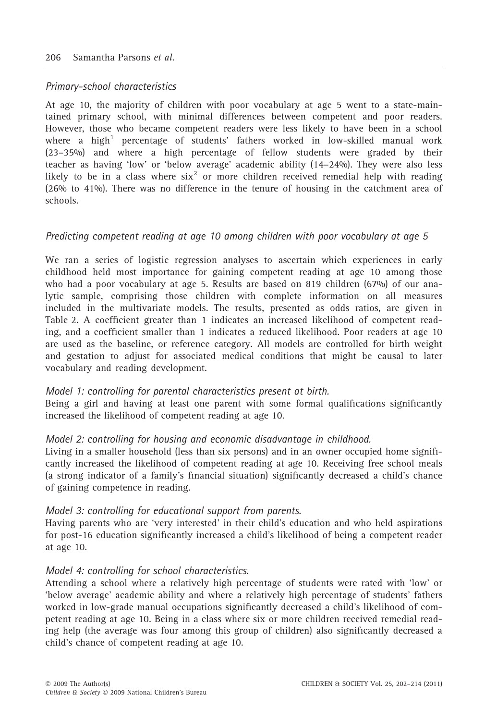## Primary-school characteristics

At age 10, the majority of children with poor vocabulary at age 5 went to a state-maintained primary school, with minimal differences between competent and poor readers. However, those who became competent readers were less likely to have been in a school where a high<sup>1</sup> percentage of students' fathers worked in low-skilled manual work (23–35%) and where a high percentage of fellow students were graded by their teacher as having 'low' or 'below average' academic ability (14–24%). They were also less likely to be in a class where  $\sin^2$  or more children received remedial help with reading (26% to 41%). There was no difference in the tenure of housing in the catchment area of schools.

## Predicting competent reading at age 10 among children with poor vocabulary at age 5

We ran a series of logistic regression analyses to ascertain which experiences in early childhood held most importance for gaining competent reading at age 10 among those who had a poor vocabulary at age 5. Results are based on 819 children (67%) of our analytic sample, comprising those children with complete information on all measures included in the multivariate models. The results, presented as odds ratios, are given in Table 2. A coefficient greater than 1 indicates an increased likelihood of competent reading, and a coefficient smaller than 1 indicates a reduced likelihood. Poor readers at age 10 are used as the baseline, or reference category. All models are controlled for birth weight and gestation to adjust for associated medical conditions that might be causal to later vocabulary and reading development.

## Model 1: controlling for parental characteristics present at birth.

Being a girl and having at least one parent with some formal qualifications significantly increased the likelihood of competent reading at age 10.

## Model 2: controlling for housing and economic disadvantage in childhood.

Living in a smaller household (less than six persons) and in an owner occupied home significantly increased the likelihood of competent reading at age 10. Receiving free school meals (a strong indicator of a family's financial situation) significantly decreased a child's chance of gaining competence in reading.

## Model 3: controlling for educational support from parents.

Having parents who are 'very interested' in their child's education and who held aspirations for post-16 education significantly increased a child's likelihood of being a competent reader at age 10.

#### Model 4: controlling for school characteristics.

Attending a school where a relatively high percentage of students were rated with 'low' or 'below average' academic ability and where a relatively high percentage of students' fathers worked in low-grade manual occupations significantly decreased a child's likelihood of competent reading at age 10. Being in a class where six or more children received remedial reading help (the average was four among this group of children) also significantly decreased a child's chance of competent reading at age 10.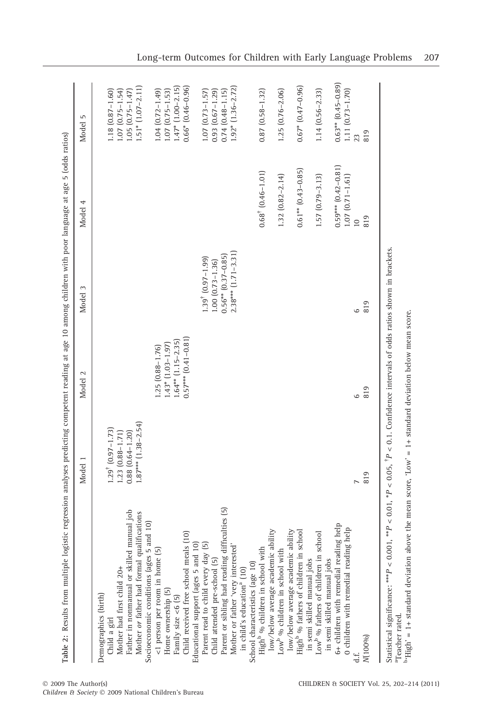| Table 2: Results from multiple logistic regression analyses predicting competent reading at age 10 among children with poor language at age 5 (odds ratios) |                                     |                         |                                     |                              |                        |
|-------------------------------------------------------------------------------------------------------------------------------------------------------------|-------------------------------------|-------------------------|-------------------------------------|------------------------------|------------------------|
|                                                                                                                                                             | Model 1                             | Model 2                 | Model 3                             | 4<br>Model                   | 5<br>Model             |
| Demographics (birth)                                                                                                                                        |                                     |                         |                                     |                              |                        |
| Child a girl                                                                                                                                                | $1.29$ <sup>†</sup> $(0.97 - 1.73)$ |                         |                                     |                              | $1.18$ $(0.87 - 1.60)$ |
| Mother had first child 20+                                                                                                                                  | $1.23$ $(0.88 - 1.71)$              |                         |                                     |                              | $1.07$ $(0.75 - 1.54)$ |
| Father in nonmanual or skilled manual job<br>Mother <i>or</i> father had formal qualifications                                                              | $0.88$ $(0.64 - 1.20)$              |                         |                                     |                              | $1.05(0.75 - 1.47)$    |
|                                                                                                                                                             | $1.87***$ $(1.38-2.54)$             |                         |                                     |                              | $1.51*$ $(1.07-2.11)$  |
| Socioeconomic conditions (ages 5 and 10)                                                                                                                    |                                     |                         |                                     |                              |                        |
| <1 person per room in home (5)                                                                                                                              |                                     | 1.25 (0.88-1.76)        |                                     |                              | $1.04(0.72 - 1.49)$    |
| Home ownership (5)                                                                                                                                          |                                     | $1.43*$ $(1.03-1.97)$   |                                     |                              | $1.07$ $(0.75 - 1.53)$ |
| Family size $<6$ (5)                                                                                                                                        |                                     | $1.64**$ $(1.15-2.35)$  |                                     |                              | $1.47$ $(1.00 - 2.15)$ |
| Child received free school meals (10)                                                                                                                       |                                     | $0.57***$ $(0.41-0.81)$ |                                     |                              | $0.66*$ $(0.46-0.96)$  |
| Educational support (ages 5 and 10)                                                                                                                         |                                     |                         |                                     |                              |                        |
| Parent read to child every day (5)                                                                                                                          |                                     |                         | $1.39$ <sup>†</sup> $(0.97 - 1.99)$ |                              | $1.07$ $(0.73 - 1.57)$ |
| Child attended pre-school (5)                                                                                                                               |                                     |                         | $1.00$ $(0.73 - 1.36)$              |                              | $0.93(0.67 - 1.29)$    |
| Parent or sibling had reading difficulties (5)                                                                                                              |                                     |                         | $0.56**$ $(0.37-0.85)$              |                              | $0.74$ $(0.48 - 1.15)$ |
| Mother or father 'very interested'                                                                                                                          |                                     |                         | $2.38***$ $(1.71-3.31)$             |                              | $1.92*$ $(1.36-2.72)$  |
| in child's education <sup>a</sup> (10)                                                                                                                      |                                     |                         |                                     |                              |                        |
| School characteristics (age 10)                                                                                                                             |                                     |                         |                                     |                              |                        |
| High <sup>b</sup> % children in school with                                                                                                                 |                                     |                         |                                     | $0.68^{\dagger}$ (0.46-1.01) | $0.87(0.58 - 1.32)$    |
| low/below average academic ability                                                                                                                          |                                     |                         |                                     |                              |                        |
| Low <sup>b</sup> % children in school with                                                                                                                  |                                     |                         |                                     | $1.32(0.82 - 2.14)$          | $1.25(0.76 - 2.06)$    |
| low/below average academic ability                                                                                                                          |                                     |                         |                                     |                              |                        |
| High <sup>b</sup> % fathers of children in school                                                                                                           |                                     |                         |                                     | $0.61**$ $(0.43-0.85)$       | $0.67*$ $(0.47-0.96)$  |
| in semi skilled manual jobs                                                                                                                                 |                                     |                         |                                     |                              |                        |
| Low <sup>b o</sup> /o fathers of children in school                                                                                                         |                                     |                         |                                     | 1.57 (0.79-3.13)             | $1.14(0.56-2.33)$      |
| in semi skilled manual jobs                                                                                                                                 |                                     |                         |                                     |                              |                        |
| 6+ children with remedial reading help                                                                                                                      |                                     |                         |                                     | $0.59***$ $(0.42-0.81)$      | $0.63**$ $(0.45-0.89)$ |
| 0 children with remedial reading help                                                                                                                       |                                     |                         |                                     | $1.07(0.71 - 1.61)$          | 1.11 (0.73-1.70)       |
|                                                                                                                                                             |                                     | $\circ$                 | م                                   | $\overline{a}$               |                        |
| N(100%)                                                                                                                                                     | 819                                 | 819                     | 819                                 | 819                          | 819                    |
| Statistical significance: *** $P < 0.001$ , * $P < 0.01$ , * $P < 0.05$ , $P < 0.1$ . Confidence intervals of odds ratios shown in brackets.                |                                     |                         |                                     |                              |                        |

© 2009 The Author(s)

aTeacher rated.

b'High' = 1+ standard deviation above the mean score, 'Low' = 1+ standard deviation below mean score.

Children & Society © 2009 National Children's Bureau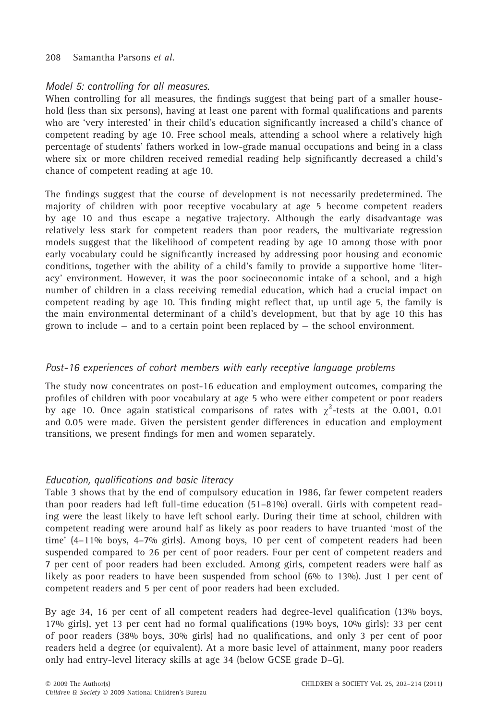#### Model 5: controlling for all measures.

When controlling for all measures, the findings suggest that being part of a smaller household (less than six persons), having at least one parent with formal qualifications and parents who are 'very interested' in their child's education significantly increased a child's chance of competent reading by age 10. Free school meals, attending a school where a relatively high percentage of students' fathers worked in low-grade manual occupations and being in a class where six or more children received remedial reading help significantly decreased a child's chance of competent reading at age 10.

The findings suggest that the course of development is not necessarily predetermined. The majority of children with poor receptive vocabulary at age 5 become competent readers by age 10 and thus escape a negative trajectory. Although the early disadvantage was relatively less stark for competent readers than poor readers, the multivariate regression models suggest that the likelihood of competent reading by age 10 among those with poor early vocabulary could be significantly increased by addressing poor housing and economic conditions, together with the ability of a child's family to provide a supportive home 'literacy' environment. However, it was the poor socioeconomic intake of a school, and a high number of children in a class receiving remedial education, which had a crucial impact on competent reading by age 10. This finding might reflect that, up until age 5, the family is the main environmental determinant of a child's development, but that by age 10 this has grown to include — and to a certain point been replaced by — the school environment.

#### Post-16 experiences of cohort members with early receptive language problems

The study now concentrates on post-16 education and employment outcomes, comparing the profiles of children with poor vocabulary at age 5 who were either competent or poor readers by age 10. Once again statistical comparisons of rates with  $\chi^2$ -tests at the 0.001, 0.01 and 0.05 were made. Given the persistent gender differences in education and employment transitions, we present findings for men and women separately.

#### Education, qualifications and basic literacy

Table 3 shows that by the end of compulsory education in 1986, far fewer competent readers than poor readers had left full-time education (51–81%) overall. Girls with competent reading were the least likely to have left school early. During their time at school, children with competent reading were around half as likely as poor readers to have truanted 'most of the time' (4–11% boys, 4–7% girls). Among boys, 10 per cent of competent readers had been suspended compared to 26 per cent of poor readers. Four per cent of competent readers and 7 per cent of poor readers had been excluded. Among girls, competent readers were half as likely as poor readers to have been suspended from school (6% to 13%). Just 1 per cent of competent readers and 5 per cent of poor readers had been excluded.

By age 34, 16 per cent of all competent readers had degree-level qualification (13% boys, 17% girls), yet 13 per cent had no formal qualifications (19% boys, 10% girls): 33 per cent of poor readers (38% boys, 30% girls) had no qualifications, and only 3 per cent of poor readers held a degree (or equivalent). At a more basic level of attainment, many poor readers only had entry-level literacy skills at age 34 (below GCSE grade D–G).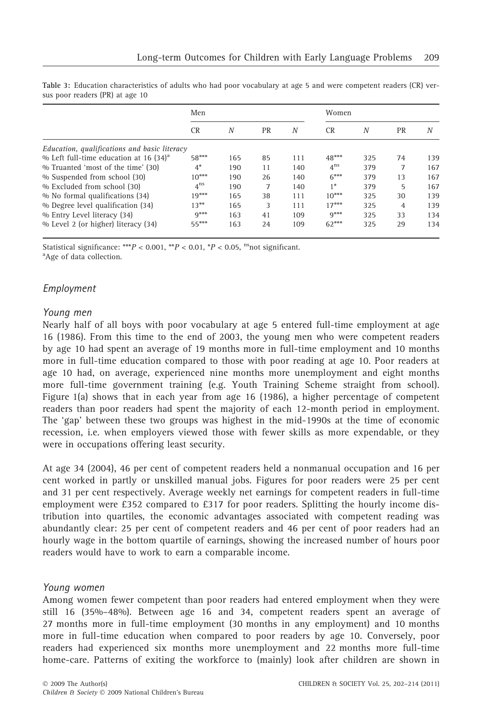| SUS DOOL ICAUCIS (I IV) AL ARC TO            |                 |     |           |       |              |     |    |     |  |  |  |
|----------------------------------------------|-----------------|-----|-----------|-------|--------------|-----|----|-----|--|--|--|
|                                              | Men             |     |           | Women |              |     |    |     |  |  |  |
|                                              | CR.             | N   | <b>PR</b> | N     | <b>CR</b>    | N   | PR | N   |  |  |  |
| Education, qualifications and basic literacy |                 |     |           |       |              |     |    |     |  |  |  |
| % Left full-time education at 16 $(34)^{a}$  | 58***           | 165 | 85        | 111   | $48***$      | 325 | 74 | 139 |  |  |  |
| % Truanted 'most of the time' (30)           | $4^*$           | 190 | 11        | 140   | $4^{\rm ns}$ | 379 |    | 167 |  |  |  |
| % Suspended from school (30)                 | $10***$         | 190 | 26        | 140   | $6***$       | 379 | 13 | 167 |  |  |  |
| % Excluded from school (30)                  | $4^{\text{ns}}$ | 190 |           | 140   | $1*$         | 379 | 5  | 167 |  |  |  |

% No formal qualifications (34)  $19***$  165 38 111 10\*\*\* 325 30 139<br>% Degree level qualification (34) 13\*\* 165 3 111 17\*\*\* 325 4 139 % Degree level qualification (34)  $13^{**}$  165 3 111 17\*\*\* 325 4 139<br>% Entry Level literacy (34) 9\*\*\* 163 41 109 9\*\*\* 325 33 134 % Entry Level literacy (34) <br>
% Level 2 (or higher) literacy (34) <br>
55\*\*\* 163 24 109 62\*\*\* 325 29 134 % Level 2 (or higher) literacy (34) 55\*\*\* 163 24 109 62\*\*\* 325 29 134

Table 3: Education characteristics of adults who had poor vocabulary at age 5 and were competent readers (CR) ver $resders (PR)$  at age 10

Statistical significance: \*\*\* $P < 0.001$ , \*\* $P < 0.01$ , \* $P < 0.05$ , <sup>ns</sup>not significant.

<sup>a</sup>Age of data collection.

# Employment

#### Young men

Nearly half of all boys with poor vocabulary at age 5 entered full-time employment at age 16 (1986). From this time to the end of 2003, the young men who were competent readers by age 10 had spent an average of 19 months more in full-time employment and 10 months more in full-time education compared to those with poor reading at age 10. Poor readers at age 10 had, on average, experienced nine months more unemployment and eight months more full-time government training (e.g. Youth Training Scheme straight from school). Figure 1(a) shows that in each year from age 16 (1986), a higher percentage of competent readers than poor readers had spent the majority of each 12-month period in employment. The 'gap' between these two groups was highest in the mid-1990s at the time of economic recession, i.e. when employers viewed those with fewer skills as more expendable, or they were in occupations offering least security.

At age 34 (2004), 46 per cent of competent readers held a nonmanual occupation and 16 per cent worked in partly or unskilled manual jobs. Figures for poor readers were 25 per cent and 31 per cent respectively. Average weekly net earnings for competent readers in full-time employment were £352 compared to £317 for poor readers. Splitting the hourly income distribution into quartiles, the economic advantages associated with competent reading was abundantly clear: 25 per cent of competent readers and 46 per cent of poor readers had an hourly wage in the bottom quartile of earnings, showing the increased number of hours poor readers would have to work to earn a comparable income.

## Young women

Among women fewer competent than poor readers had entered employment when they were still 16 (35%–48%). Between age 16 and 34, competent readers spent an average of 27 months more in full-time employment (30 months in any employment) and 10 months more in full-time education when compared to poor readers by age 10. Conversely, poor readers had experienced six months more unemployment and 22 months more full-time home-care. Patterns of exiting the workforce to (mainly) look after children are shown in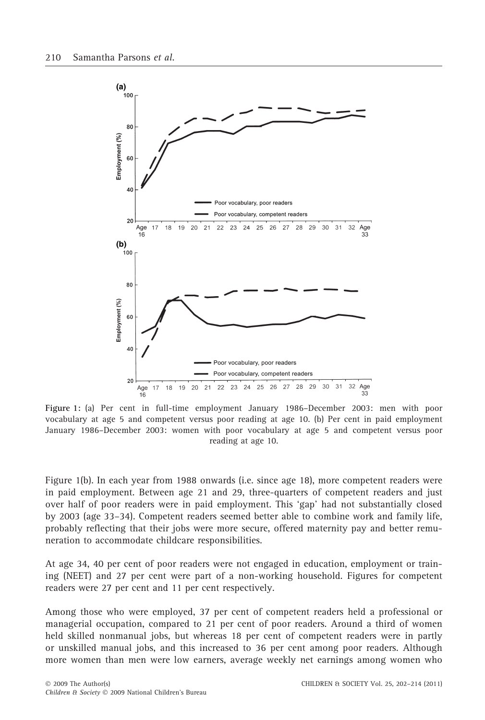

Figure 1: (a) Per cent in full-time employment January 1986–December 2003: men with poor vocabulary at age 5 and competent versus poor reading at age 10. (b) Per cent in paid employment January 1986–December 2003: women with poor vocabulary at age 5 and competent versus poor reading at age 10.

Figure 1(b). In each year from 1988 onwards (i.e. since age 18), more competent readers were in paid employment. Between age 21 and 29, three-quarters of competent readers and just over half of poor readers were in paid employment. This 'gap' had not substantially closed by 2003 (age 33–34). Competent readers seemed better able to combine work and family life, probably reflecting that their jobs were more secure, offered maternity pay and better remuneration to accommodate childcare responsibilities.

At age 34, 40 per cent of poor readers were not engaged in education, employment or training (NEET) and 27 per cent were part of a non-working household. Figures for competent readers were 27 per cent and 11 per cent respectively.

Among those who were employed, 37 per cent of competent readers held a professional or managerial occupation, compared to 21 per cent of poor readers. Around a third of women held skilled nonmanual jobs, but whereas 18 per cent of competent readers were in partly or unskilled manual jobs, and this increased to 36 per cent among poor readers. Although more women than men were low earners, average weekly net earnings among women who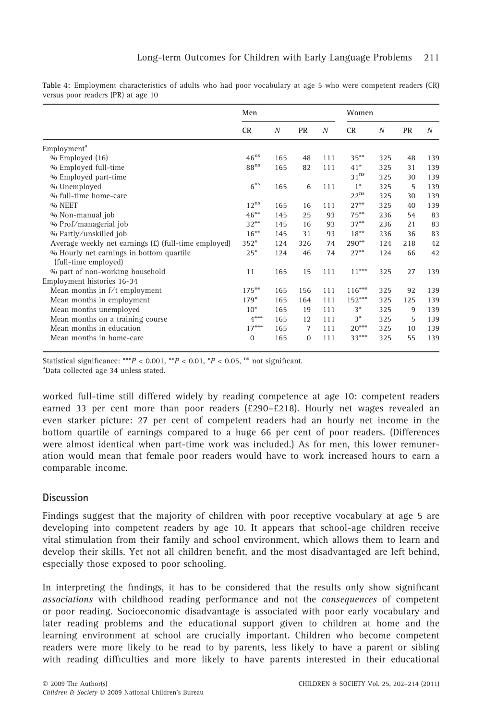|                                                      | Men              |                  |              |     | Women            |                  |           |                  |  |  |  |
|------------------------------------------------------|------------------|------------------|--------------|-----|------------------|------------------|-----------|------------------|--|--|--|
|                                                      | <b>CR</b>        | $\boldsymbol{N}$ | PR           | N   | <b>CR</b>        | $\boldsymbol{N}$ | <b>PR</b> | $\boldsymbol{N}$ |  |  |  |
| Employment <sup>a</sup>                              |                  |                  |              |     |                  |                  |           |                  |  |  |  |
| % Employed (16)                                      | $46^{\text{ns}}$ | 165              | 48           | 111 | $35***$          | 325              | 48        | 139              |  |  |  |
| % Employed full-time                                 | 88 <sup>ns</sup> | 165              | 82           | 111 | $41*$            | 325              | 31        | 139              |  |  |  |
| % Employed part-time                                 |                  |                  |              |     | $31^{\text{ns}}$ | 325              | 30        | 139              |  |  |  |
| % Unemployed                                         | 6 <sup>ns</sup>  | 165              | 6            | 111 | $1*$             | 325              | 5         | 139              |  |  |  |
| % full-time home-care                                |                  |                  |              |     | $22^{\text{ns}}$ | 325              | 30        | 139              |  |  |  |
| % NEET                                               | $12^{ns}$        | 165              | 16           | 111 | $27***$          | 325              | 40        | 139              |  |  |  |
| % Non-manual job                                     | $46***$          | 145              | 25           | 93  | $75***$          | 236              | 54        | 83               |  |  |  |
| % Prof/managerial job                                | $32***$          | 145              | 16           | 93  | $37**$           | 236              | 2.1       | 83               |  |  |  |
| % Partly/unskilled job                               | $16***$          | 145              | 31           | 93  | $18***$          | 236              | 36        | 83               |  |  |  |
| Average weekly net earnings (£) (full-time employed) | $352*$           | 124              | 326          | 74  | $290**$          | 124              | 218       | 42               |  |  |  |
| % Hourly net earnings in bottom quartile             | $25*$            | 124              | 46           | 74  | $27**$           | 124              | 66        | 42               |  |  |  |
| (full-time employed)                                 |                  |                  |              |     |                  |                  |           |                  |  |  |  |
| % part of non-working household                      | 11               | 165              | 15           | 111 | $11***$          | 325              | 27        | 139              |  |  |  |
| Employment histories 16-34                           |                  |                  |              |     |                  |                  |           |                  |  |  |  |
| Mean months in f/t employment                        | $175***$         | 165              | 156          | 111 | $116***$         | 325              | 92        | 139              |  |  |  |
| Mean months in employment                            | $179*$           | 165              | 164          | 111 | $152***$         | 325              | 125       | 139              |  |  |  |
| Mean months unemployed                               | $10*$            | 165              | 19           | 111 | $3*$             | 325              | 9         | 139              |  |  |  |
| Mean months on a training course                     | $4***$           | 165              | 12           | 111 | $3*$             | 325              | 5         | 139              |  |  |  |
| Mean months in education                             | $17***$          | 165              | $\tau$       | 111 | $20***$          | 325              | 10        | 139              |  |  |  |
| Mean months in home-care                             | $\mathbf{0}$     | 165              | $\mathbf{0}$ | 111 | $33***$          | 325              | 55        | 139              |  |  |  |

Table 4: Employment characteristics of adults who had poor vocabulary at age 5 who were competent readers (CR) versus poor readers (PR) at age 10

Statistical significance: \*\*\* $P < 0.001$ , \*\* $P < 0.01$ , \* $P < 0.05$ , <sup>ns</sup> not significant.

Data collected age 34 unless stated.

worked full-time still differed widely by reading competence at age 10: competent readers earned 33 per cent more than poor readers (£290–£218). Hourly net wages revealed an even starker picture: 27 per cent of competent readers had an hourly net income in the bottom quartile of earnings compared to a huge 66 per cent of poor readers. (Differences were almost identical when part-time work was included.) As for men, this lower remuneration would mean that female poor readers would have to work increased hours to earn a comparable income.

# Discussion

Findings suggest that the majority of children with poor receptive vocabulary at age 5 are developing into competent readers by age 10. It appears that school-age children receive vital stimulation from their family and school environment, which allows them to learn and develop their skills. Yet not all children benefit, and the most disadvantaged are left behind, especially those exposed to poor schooling.

In interpreting the findings, it has to be considered that the results only show significant associations with childhood reading performance and not the consequences of competent or poor reading. Socioeconomic disadvantage is associated with poor early vocabulary and later reading problems and the educational support given to children at home and the learning environment at school are crucially important. Children who become competent readers were more likely to be read to by parents, less likely to have a parent or sibling with reading difficulties and more likely to have parents interested in their educational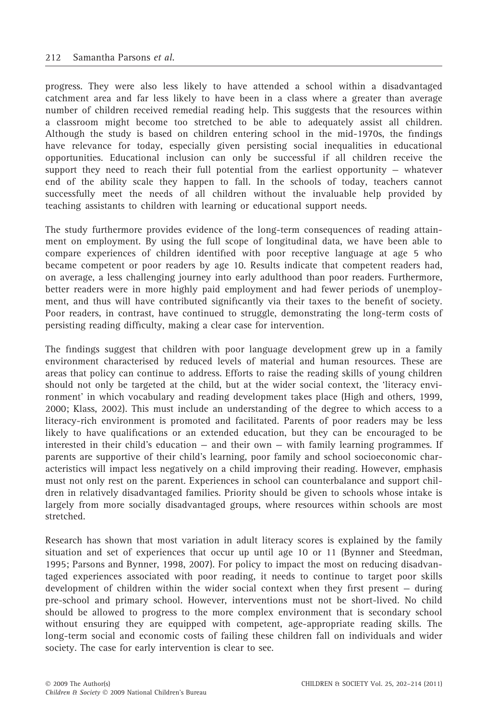progress. They were also less likely to have attended a school within a disadvantaged catchment area and far less likely to have been in a class where a greater than average number of children received remedial reading help. This suggests that the resources within a classroom might become too stretched to be able to adequately assist all children. Although the study is based on children entering school in the mid-1970s, the findings have relevance for today, especially given persisting social inequalities in educational opportunities. Educational inclusion can only be successful if all children receive the support they need to reach their full potential from the earliest opportunity  $-$  whatever end of the ability scale they happen to fall. In the schools of today, teachers cannot successfully meet the needs of all children without the invaluable help provided by teaching assistants to children with learning or educational support needs.

The study furthermore provides evidence of the long-term consequences of reading attainment on employment. By using the full scope of longitudinal data, we have been able to compare experiences of children identified with poor receptive language at age 5 who became competent or poor readers by age 10. Results indicate that competent readers had, on average, a less challenging journey into early adulthood than poor readers. Furthermore, better readers were in more highly paid employment and had fewer periods of unemployment, and thus will have contributed significantly via their taxes to the benefit of society. Poor readers, in contrast, have continued to struggle, demonstrating the long-term costs of persisting reading difficulty, making a clear case for intervention.

The findings suggest that children with poor language development grew up in a family environment characterised by reduced levels of material and human resources. These are areas that policy can continue to address. Efforts to raise the reading skills of young children should not only be targeted at the child, but at the wider social context, the 'literacy environment' in which vocabulary and reading development takes place (High and others, 1999, 2000; Klass, 2002). This must include an understanding of the degree to which access to a literacy-rich environment is promoted and facilitated. Parents of poor readers may be less likely to have qualifications or an extended education, but they can be encouraged to be interested in their child's education  $-$  and their own  $-$  with family learning programmes. If parents are supportive of their child's learning, poor family and school socioeconomic characteristics will impact less negatively on a child improving their reading. However, emphasis must not only rest on the parent. Experiences in school can counterbalance and support children in relatively disadvantaged families. Priority should be given to schools whose intake is largely from more socially disadvantaged groups, where resources within schools are most stretched.

Research has shown that most variation in adult literacy scores is explained by the family situation and set of experiences that occur up until age 10 or 11 (Bynner and Steedman, 1995; Parsons and Bynner, 1998, 2007). For policy to impact the most on reducing disadvantaged experiences associated with poor reading, it needs to continue to target poor skills development of children within the wider social context when they first present — during pre-school and primary school. However, interventions must not be short-lived. No child should be allowed to progress to the more complex environment that is secondary school without ensuring they are equipped with competent, age-appropriate reading skills. The long-term social and economic costs of failing these children fall on individuals and wider society. The case for early intervention is clear to see.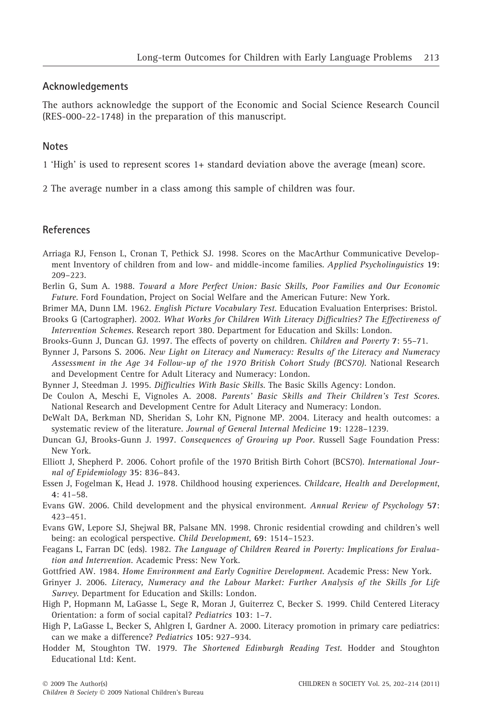#### Acknowledgements

The authors acknowledge the support of the Economic and Social Science Research Council (RES-000-22-1748) in the preparation of this manuscript.

#### **Notes**

1 'High' is used to represent scores 1+ standard deviation above the average (mean) score.

2 The average number in a class among this sample of children was four.

#### References

- Arriaga RJ, Fenson L, Cronan T, Pethick SJ. 1998. Scores on the MacArthur Communicative Development Inventory of children from and low- and middle-income families. Applied Psycholinguistics 19: 209–223.
- Berlin G, Sum A. 1988. Toward a More Perfect Union: Basic Skills, Poor Families and Our Economic Future. Ford Foundation, Project on Social Welfare and the American Future: New York.
- Brimer MA, Dunn LM. 1962. English Picture Vocabulary Test. Education Evaluation Enterprises: Bristol.
- Brooks G (Cartographer). 2002. What Works for Children With Literacy Difficulties? The Effectiveness of Intervention Schemes. Research report 380. Department for Education and Skills: London.
- Brooks-Gunn J, Duncan GJ. 1997. The effects of poverty on children. Children and Poverty 7: 55–71.
- Bynner J, Parsons S. 2006. New Light on Literacy and Numeracy: Results of the Literacy and Numeracy Assessment in the Age 34 Follow-up of the 1970 British Cohort Study (BCS70). National Research and Development Centre for Adult Literacy and Numeracy: London.
- Bynner J, Steedman J. 1995. Difficulties With Basic Skills. The Basic Skills Agency: London.
- De Coulon A, Meschi E, Vignoles A. 2008. Parents' Basic Skills and Their Children's Test Scores. National Research and Development Centre for Adult Literacy and Numeracy: London.
- DeWalt DA, Berkman ND, Sheridan S, Lohr KN, Pignone MP. 2004. Literacy and health outcomes: a systematic review of the literature. Journal of General Internal Medicine 19: 1228–1239.
- Duncan GJ, Brooks-Gunn J. 1997. Consequences of Growing up Poor. Russell Sage Foundation Press: New York.
- Elliott J, Shepherd P. 2006. Cohort profile of the 1970 British Birth Cohort (BCS70). International Journal of Epidemiology 35: 836–843.
- Essen J, Fogelman K, Head J. 1978. Childhood housing experiences. Childcare, Health and Development, 4: 41–58.
- Evans GW. 2006. Child development and the physical environment. Annual Review of Psychology 57: 423–451.
- Evans GW, Lepore SJ, Shejwal BR, Palsane MN. 1998. Chronic residential crowding and children's well being: an ecological perspective. Child Development, 69: 1514–1523.
- Feagans L, Farran DC (eds). 1982. The Language of Children Reared in Poverty: Implications for Evaluation and Intervention. Academic Press: New York.
- Gottfried AW. 1984. Home Environment and Early Cognitive Development. Academic Press: New York.
- Grinyer J. 2006. Literacy, Numeracy and the Labour Market: Further Analysis of the Skills for Life Survey. Department for Education and Skills: London.
- High P, Hopmann M, LaGasse L, Sege R, Moran J, Guiterrez C, Becker S. 1999. Child Centered Literacy Orientation: a form of social capital? Pediatrics 103: 1–7.
- High P, LaGasse L, Becker S, Ahlgren I, Gardner A. 2000. Literacy promotion in primary care pediatrics: can we make a difference? Pediatrics 105: 927–934.
- Hodder M, Stoughton TW. 1979. The Shortened Edinburgh Reading Test. Hodder and Stoughton Educational Ltd: Kent.